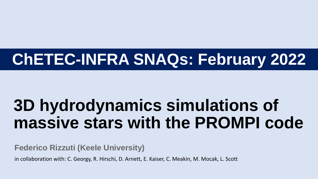# **ChETEC-INFRA SNAQs: February 2022**

# **3D hydrodynamics simulations of massive stars with the PROMPI code**

**Federico Rizzuti (Keele University)**

in collaboration with: C. Georgy, R. Hirschi, D. Arnett, E. Kaiser, C. Meakin, M. Mocak, L. Scott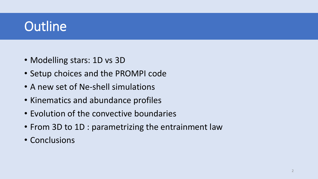# **Outline**

- Modelling stars: 1D vs 3D
- Setup choices and the PROMPI code
- A new set of Ne-shell simulations
- Kinematics and abundance profiles
- Evolution of the convective boundaries
- From 3D to 1D : parametrizing the entrainment law
- Conclusions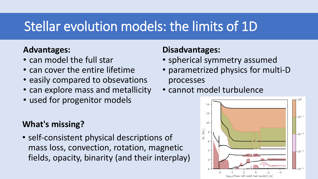# Stellar evolution models: the limits of 1D

#### **Advantages:**

- can model the full star
- can cover the entire lifetime
- easily compared to obsevations
- can explore mass and metallicity
- used for progenitor models

#### **What's missing?**

• self-consistent physical descriptions of mass loss, convection, rotation, magnetic fields, opacity, binarity (and their interplay)

#### **Disadvantages:**

- spherical symmetry assumed
- parametrized physics for multi-D processes
- cannot model turbulence

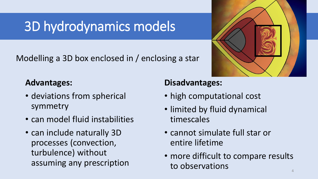# 3D hydrodynamics models

Modelling a 3D box enclosed in / enclosing a star

#### **Advantages:**

- deviations from spherical symmetry
- can model fluid instabilities
- can include naturally 3D processes (convection, turbulence) without assuming any prescription

#### **Disadvantages:**

- high computational cost
- limited by fluid dynamical timescales
- cannot simulate full star or entire lifetime
- more difficult to compare results to observations

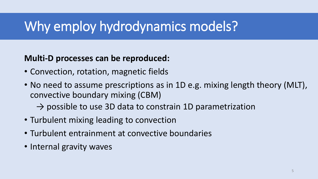# Why employ hydrodynamics models?

#### **Multi-D processes can be reproduced:**

- Convection, rotation, magnetic fields
- No need to assume prescriptions as in 1D e.g. mixing length theory (MLT), convective boundary mixing (CBM)
	- $\rightarrow$  possible to use 3D data to constrain 1D parametrization
- Turbulent mixing leading to convection
- Turbulent entrainment at convective boundaries
- Internal gravity waves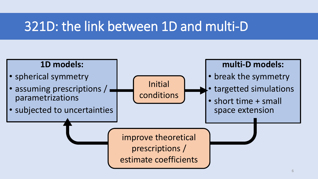### 321D: the link between 1D and multi-D

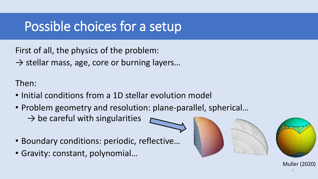# Possible choices for a setup

First of all, the physics of the problem:

 $\rightarrow$  stellar mass, age, core or burning layers...

Then:

- Initial conditions from a 1D stellar evolution model
- Problem geometry and resolution: plane-parallel, spherical…
	- $\rightarrow$  be careful with singularities
- Boundary conditions: periodic, reflective…
- Gravity: constant, polynomial…



Muller (2020)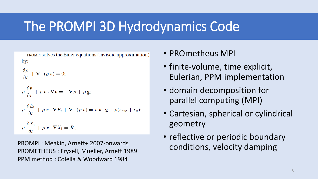# The PROMPI 3D Hydrodynamics Code

PROMPI solves the Euler equations (inviscid approximation)  $by:$ 

 $\frac{\partial \rho}{\partial t} + \nabla \cdot (\rho \, \mathbf{v}) = 0;$ 

$$
\rho \frac{\partial v}{\partial t} + \rho v \cdot \nabla v = -\nabla p + \rho g;
$$

$$
\rho \frac{\partial E_t}{\partial t} + \rho \, \mathbf{v} \cdot \nabla E_t + \nabla \cdot (p \, \mathbf{v}) = \rho \, \mathbf{v} \cdot \mathbf{g} + \rho (\epsilon_{\text{nuc}} + \epsilon_{\nu});
$$

 $\rho \frac{\partial X_i}{\partial t} + \rho \, \mathbf{v} \cdot \nabla X_i = R_i,$ 

PROMPI : Meakin, Arnett+ 2007-onwards PROMETHEUS : Fryxell, Mueller, Arnett 1989 PPM method : Colella & Woodward 1984

- PROmetheus MPI
- finite-volume, time explicit, Eulerian, PPM implementation
- domain decomposition for parallel computing (MPI)
- Cartesian, spherical or cylindrical geometry
- reflective or periodic boundary conditions, velocity damping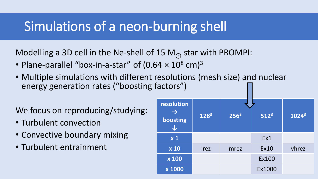### Simulations of a neon-burning shell

Modelling a 3D cell in the Ne-shell of 15 M<sub> $\odot$ </sub> star with PROMPI:

- Plane-parallel "box-in-a-star" of  $(0.64 \times 10^8 \text{ cm})^3$
- Multiple simulations with different resolutions (mesh size) and nuclear energy generation rates ("boosting factors")

We focus on reproducing/studying:

- Turbulent convection
- Convective boundary mixing
- Turbulent entrainment

| resolution<br>$\rightarrow$<br>boosting | 1283        | 256 <sup>3</sup> | $512^3$      | $1024^3$ |
|-----------------------------------------|-------------|------------------|--------------|----------|
| x <sub>1</sub>                          |             |                  | Ex1          |          |
| $\overline{\mathbf{x}}$ 10              | <b>Irez</b> | mrez             | <b>Ex10</b>  | vhrez    |
| x 100                                   |             |                  | <b>Ex100</b> |          |
| x 1000                                  |             |                  | Ex1000       |          |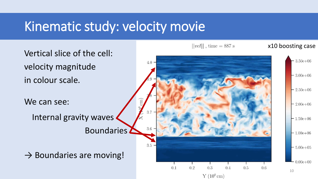### Kinematic study: velocity movie

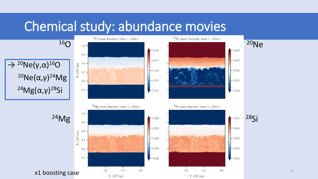### Chemical study: abundance movies

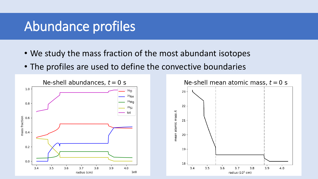### Abundance profiles

- We study the mass fraction of the most abundant isotopes
- The profiles are used to define the convective boundaries

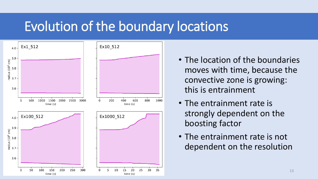### Evolution of the boundary locations



- The location of the boundaries moves with time, because the convective zone is growing: this is entrainment
- The entrainment rate is strongly dependent on the boosting factor
- The entrainment rate is not dependent on the resolution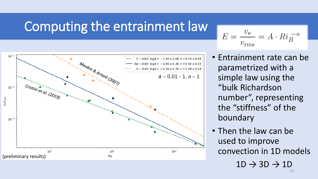### Computing the entrainment law



$$
E = \frac{v_{\rm e}}{v_{\rm rms}} = A \cdot Ri_B^{-n}
$$

- Entrainment rate can be parametrized with a simple law using the "bulk Richardson number", representing the "stiffness" of the boundary
- Then the law can be used to improve convection in 1D models  $1D \rightarrow 3D \rightarrow 1D$